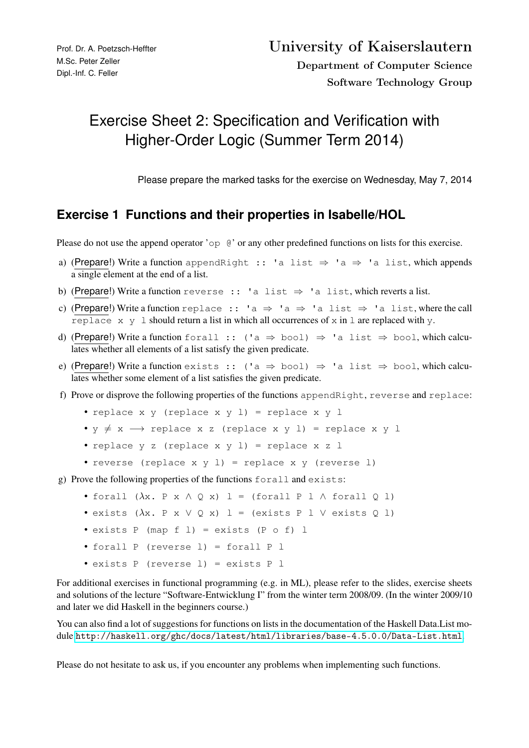# Exercise Sheet 2: Specification and Verification with Higher-Order Logic (Summer Term 2014)

Please prepare the marked tasks for the exercise on Wednesday, May 7, 2014

# **Exercise 1 Functions and their properties in Isabelle/HOL**

Please do not use the append operator 'op  $\theta$ ' or any other predefined functions on lists for this exercise.

- a) (Prepare!) Write a function appendRight :: 'a list  $\Rightarrow$  'a  $\Rightarrow$  'a list, which appends a single element at the end of a list.
- b) (Prepare!) Write a function reverse :: 'a list  $\Rightarrow$  'a list, which reverts a list.
- c) (Prepare!) Write a function replace :: 'a  $\Rightarrow$  'a  $\Rightarrow$  'a list  $\Rightarrow$  'a list, where the call replace  $x \, y \, 1$  should return a list in which all occurrences of  $x$  in  $1$  are replaced with  $y$ .
- d) (Prepare!) Write a function forall :: ('a  $\Rightarrow$  bool)  $\Rightarrow$  'a list  $\Rightarrow$  bool, which calculates whether all elements of a list satisfy the given predicate.
- e) (Prepare!) Write a function exists :: ('a  $\Rightarrow$  bool)  $\Rightarrow$  'a list  $\Rightarrow$  bool, which calculates whether some element of a list satisfies the given predicate.
- f) Prove or disprove the following properties of the functions appendRight, reverse and replace:
	- replace x y (replace x y l) = replace x y l
	- $y \neq x \rightarrow$  replace x z (replace x y l) = replace x y l
	- replace y z (replace x y l) = replace x z l
	- reverse (replace x y l) = replace x y (reverse l)

g) Prove the following properties of the functions forall and exists:

- forall  $(\lambda x. P x \wedge Q x) 1 =$  (forall P 1  $\wedge$  forall Q 1)
- exists  $(\lambda x. P x \vee Q x) 1 = (exists P 1 \vee exists Q 1)$
- exists  $P$  (map  $f$  1) = exists ( $P$  o  $f$ ) 1
- forall P (reverse l) = forall P l
- exists P (reverse l) = exists P l

For additional exercises in functional programming (e.g. in ML), please refer to the slides, exercise sheets and solutions of the lecture "Software-Entwicklung I" from the winter term 2008/09. (In the winter 2009/10 and later we did Haskell in the beginners course.)

You can also find a lot of suggestions for functions on lists in the documentation of the Haskell Data.List module <http://haskell.org/ghc/docs/latest/html/libraries/base-4.5.0.0/Data-List.html>.

Please do not hesitate to ask us, if you encounter any problems when implementing such functions.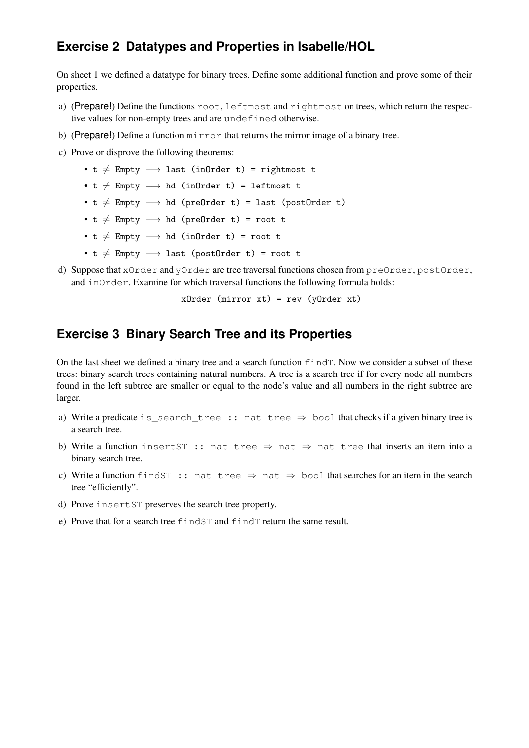# **Exercise 2 Datatypes and Properties in Isabelle/HOL**

On sheet 1 we defined a datatype for binary trees. Define some additional function and prove some of their properties.

- a) (Prepare!) Define the functions root, leftmost and rightmost on trees, which return the respective values for non-empty trees and are undefined otherwise.
- b) (Prepare!) Define a function  $\min$   $\max$  that returns the mirror image of a binary tree.
- c) Prove or disprove the following theorems:
	- t  $\neq$  Empty  $\longrightarrow$  last (inOrder t) = rightmost t
	- t  $\neq$  Empty  $\longrightarrow$  hd (inOrder t) = leftmost t
	- $t \neq$  Empty  $\longrightarrow$  hd (preOrder t) = last (postOrder t)
	- t  $\neq$  Empty  $\longrightarrow$  hd (preOrder t) = root t
	- t  $\neq$  Empty  $\longrightarrow$  hd (inOrder t) = root t
	- t  $\neq$  Empty  $\longrightarrow$  last (postOrder t) = root t
- d) Suppose that xOrder and yOrder are tree traversal functions chosen from preOrder, postOrder, and inOrder. Examine for which traversal functions the following formula holds:

xOrder (mirror xt) = rev (yOrder xt)

#### **Exercise 3 Binary Search Tree and its Properties**

On the last sheet we defined a binary tree and a search function findT. Now we consider a subset of these trees: binary search trees containing natural numbers. A tree is a search tree if for every node all numbers found in the left subtree are smaller or equal to the node's value and all numbers in the right subtree are larger.

- a) Write a predicate is\_search\_tree :: nat tree  $\Rightarrow$  bool that checks if a given binary tree is a search tree.
- b) Write a function insert ST :: nat tree  $\Rightarrow$  nat  $\Rightarrow$  nat tree that inserts an item into a binary search tree.
- c) Write a function findST :: nat tree  $\Rightarrow$  nat  $\Rightarrow$  bool that searches for an item in the search tree "efficiently".
- d) Prove insertST preserves the search tree property.
- e) Prove that for a search tree findST and findT return the same result.